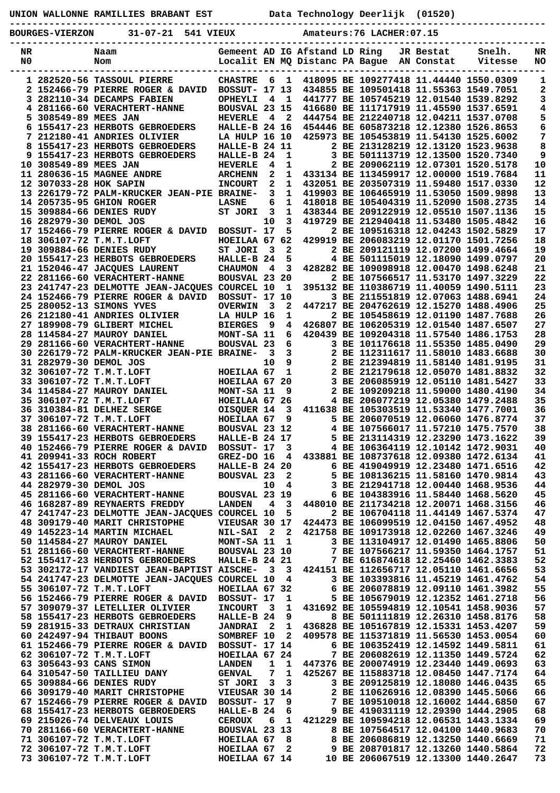| UNION<br>EST<br>RAMILLIES<br><b>RRARANT</b><br><b>WATTONNE</b> | πеς.<br>vpo1<br>Deer |  |
|----------------------------------------------------------------|----------------------|--|
|                                                                |                      |  |

**----------------------------------------------------------------------------------------------- BOURGES-VIERZON 31-07-21 541 VIEUX Amateurs:76 LACHER:07.15**

| NR |                        | Naam                                                                           |                      |                         |                              | Gemeent AD IG Afstand LD Ring  |                                                                        | JR Bestat  | Snelh.                                 | NR       |
|----|------------------------|--------------------------------------------------------------------------------|----------------------|-------------------------|------------------------------|--------------------------------|------------------------------------------------------------------------|------------|----------------------------------------|----------|
| N0 |                        | Nom                                                                            |                      |                         |                              | Localit EN MQ Distanc PA Bague |                                                                        | AN Constat | Vitesse                                | NO       |
|    |                        | 1 282520-56 TASSOUL PIERRE                                                     | <b>CHASTRE</b>       | 6                       | $\mathbf{1}$                 |                                | 418095 BE 109277418 11.44440 1550.0309                                 |            |                                        |          |
|    |                        | 2 152466-79 PIERRE ROGER & DAVID                                               | <b>BOSSUT- 17 13</b> |                         |                              |                                |                                                                        |            | 434855 BE 109501418 11.55363 1549.7051 | 1<br>2   |
|    |                        | 3 282110-34 DECAMPS FABIEN                                                     | OPHEYLI              | 4                       | $\mathbf{1}$                 |                                | 441777 BE 105745219 12.01540 1539.8292                                 |            |                                        | 3        |
|    |                        | 4 281166-60 VERACHTERT-HANNE                                                   | BOUSVAL 23 15        |                         |                              |                                | 416680 BE 111717919 11.45590 1537.6591                                 |            |                                        | 4        |
|    | 5 308549-89 MEES JAN   |                                                                                | <b>HEVERLE</b>       | 4                       | 2                            |                                | 444754 BE 212240718 12.04211 1537.0708                                 |            |                                        | 5        |
|    |                        | 6 155417-23 HERBOTS GEBROEDERS                                                 | <b>HALLE-B 24 16</b> |                         |                              |                                | 454446 BE 605873218 12.12380 1526.8653                                 |            |                                        | 6        |
|    |                        | 7 212180-41 ANDRIES OLIVIER                                                    | LA HULP 16 10        |                         |                              |                                | 425973 BE 105453819 11.54130 1525.6002                                 |            |                                        | 7        |
|    |                        | 8 155417-23 HERBOTS GEBROEDERS                                                 | HALLE-B 24 11        |                         |                              |                                | 2 BE 213128219 12.13120 1523.9638                                      |            |                                        | 8        |
|    |                        | 9 155417-23 HERBOTS GEBROEDERS                                                 | HALLE-B 24           |                         | 1                            |                                | 3 BE 501113719 12.13500 1520.7340                                      |            |                                        | 9        |
|    | 10 308549-89 MEES JAN  |                                                                                | <b>HEVERLE</b>       | 4                       | 1                            |                                | 2 BE 209062119 12.07301 1520.5178                                      |            |                                        | 10       |
|    |                        | 11 280636-15 MAGNEE ANDRE                                                      | <b>ARCHENN</b>       | 2                       | 1                            |                                |                                                                        |            | 433134 BE 113459917 12.00000 1519.7684 | 11       |
|    | 12 307033-28 HOK SAPIN |                                                                                | <b>INCOURT</b>       | $\mathbf{2}$            | 1                            |                                | 432051 BE 203507319 11.59480 1517.0330                                 |            |                                        | 12       |
|    |                        | 13 226179-72 PALM-KRUCKER JEAN-PIE BRAINE-                                     |                      | 3                       | 1                            |                                | 419903 BE 106465919 11.53050 1509.9898                                 |            |                                        | 13       |
|    |                        | 14 205735-95 GHION ROGER                                                       | <b>LASNE</b>         | 6                       | 1                            |                                | 418018 BE 105404319 11.52090 1508.2735                                 |            |                                        | 14       |
|    |                        | 15 309884-66 DENIES RUDY                                                       | ST JORI              | 3                       | 1                            |                                | 438344 BE 209122919 12.05510 1507.1136                                 |            |                                        | 15       |
|    | 16 282979-30 DEMOL JOS |                                                                                |                      | 10                      | 3                            |                                | 419729 BE 212940418 11.53480 1505.4842                                 |            |                                        | 16       |
|    |                        | 17 152466-79 PIERRE ROGER & DAVID                                              | BOSSUT- 17           |                         | 5                            |                                | 2 BE 109516318 12.04243 1502.5829                                      |            |                                        | 17       |
|    |                        | 18 306107-72 T.M.T.LOFT                                                        | HOEILAA 67 62        |                         |                              |                                | 429919 BE 206083219 12.01170 1501.7256                                 |            |                                        | 18       |
|    |                        | 19 309884-66 DENIES RUDY                                                       | ST JORI              | 3                       | 2                            |                                | 2 BE 209121119 12.07200 1499.4664                                      |            |                                        | 19       |
|    |                        | 20 155417-23 HERBOTS GEBROEDERS                                                | HALLE-B 24           |                         | 5                            |                                | 4 BE 501115019 12.18090 1499.0797                                      |            |                                        | 20       |
|    |                        | 21 152046-47 JACQUES LAURENT                                                   | <b>CHAUMON</b>       | 4                       | 3                            |                                | 428282 BE 109098918 12.00470 1498.6248                                 |            |                                        | 21       |
|    |                        | 22 281166-60 VERACHTERT-HANNE                                                  | BOUSVAL 23 20        |                         |                              |                                | 2 BE 107566517 11.53170 1497.3229                                      |            |                                        | 22       |
|    |                        | 23 241747-23 DELMOTTE JEAN-JACQUES COURCEL 10                                  |                      |                         | 1                            |                                | 395132 BE 110386719 11.40059 1490.5111                                 |            |                                        | 23       |
|    |                        | 24 152466-79 PIERRE ROGER & DAVID                                              | <b>BOSSUT- 17 10</b> |                         |                              |                                | 3 BE 211551819 12.07063 1488.6941                                      |            |                                        | 24       |
|    |                        | 25 280052-13 SIMONS YVES                                                       | <b>OVERWIN</b>       | -3                      | 2                            |                                | 447217 BE 204762619 12.15270 1488.4906                                 |            |                                        | 25       |
|    |                        | 26 212180-41 ANDRIES OLIVIER                                                   | LA HULP 16           |                         | 1                            |                                | 2 BE 105458619 12.01190 1487.7688                                      |            |                                        | 26       |
|    |                        | 27 189908-79 GLIBERT MICHEL                                                    | <b>BIERGES</b>       | 9                       | 4                            |                                | 426807 BE 106205319 12.01540 1487.6507                                 |            |                                        | 27       |
|    |                        | 28 114584-27 MAUROY DANIEL                                                     | MONT-SA 11           |                         | 6                            |                                | 420439 BE 109204318 11.57540 1486.1753                                 |            |                                        | 28       |
|    |                        | 29 281166-60 VERACHTERT-HANNE                                                  | <b>BOUSVAL 23</b>    |                         | 6                            |                                | 3 BE 101176618 11.55350 1485.0490                                      |            |                                        | 29       |
|    |                        | 30 226179-72 PALM-KRUCKER JEAN-PIE BRAINE-                                     |                      | $\overline{\mathbf{3}}$ | $\mathbf{3}$                 |                                | 2 BE 112311617 11.58010 1483.6688                                      |            |                                        | 30       |
|    | 31 282979-30 DEMOL JOS |                                                                                |                      | 10                      | 9                            |                                | 2 BE 212394819 11.58140 1481.9195                                      |            |                                        | 31       |
|    |                        | 32 306107-72 T.M.T.LOFT                                                        | HOEILAA 67           |                         | $\mathbf 1$                  |                                | 2 BE 212179618 12.05070 1481.8832                                      |            |                                        | 32       |
|    |                        | 33 306107-72 T.M.T.LOFT                                                        | HOEILAA 67 20        |                         |                              |                                | 3 BE 206085919 12.05110 1481.5427                                      |            |                                        | 33       |
|    |                        | 34 114584-27 MAUROY DANIEL                                                     | MONT-SA 11           |                         | 9                            |                                | 2 BE 109209218 11.59000 1480.4190                                      |            |                                        | 34       |
|    |                        | 35 306107-72 T.M.T.LOFT                                                        | HOEILAA 67 26        |                         |                              |                                | 4 BE 206077219 12.05380 1479.2488                                      |            |                                        | 35       |
|    |                        | 36 310384-81 DELHEZ SERGE                                                      | OISQUER 14           |                         | 3                            |                                | 411638 BE 105303519 11.53340 1477.7001                                 |            |                                        | 36       |
|    |                        | 37 306107-72 T.M.T.LOFT                                                        | HOEILAA 67           |                         | 9                            |                                | 5 BE 206070519 12.06060 1476.8774                                      |            |                                        | 37       |
|    |                        | 38 281166-60 VERACHTERT-HANNE                                                  | BOUSVAL 23 12        |                         |                              |                                | 4 BE 107566017 11.57210 1475.7570                                      |            |                                        | 38       |
|    |                        | 39 155417-23 HERBOTS GEBROEDERS                                                | HALLE-B 24 17        |                         |                              |                                | 5 BE 213114319 12.23290 1473.1622                                      |            |                                        | 39       |
|    |                        | 40 152466-79 PIERRE ROGER & DAVID                                              | BOSSUT- 17           |                         | 3                            |                                | 4 BE 106364119 12.10142 1472.9031                                      |            |                                        | 40       |
|    |                        | <b>41 209941-33 ROCH ROBERT</b>                                                | GREZ-DO 16           |                         | 4                            |                                | 433881 BE 108737618 12.09380 1472.6134                                 |            |                                        | 41       |
|    |                        | 42 155417-23 HERBOTS GEBROEDERS                                                | HALLE-B 24 20        |                         |                              |                                | 6 BE 419049919 12.23480 1471.6516                                      |            |                                        | 42       |
|    |                        | 43 281166-60 VERACHTERT-HANNE                                                  | <b>BOUSVAL 23</b>    |                         | 2                            |                                | 5 BE 108136215 11.58160 1470.9814                                      |            |                                        | 43       |
|    | 44 282979-30 DEMOL JOS | 45 281166-60 VERACHTERT-HANNE                                                  |                      | 10                      | $\overline{\mathbf{4}}$      |                                | 3 BE 212941718 12.00440 1468.9536<br>6 BE 104383916 11.58440 1468.5620 |            |                                        | 44       |
|    |                        |                                                                                | BOUSVAL 23 19        |                         |                              |                                | 448010 BE 211734218 12.20071 1468.3156                                 |            |                                        | 45       |
|    |                        | 46 168287-89 REYNAERTS FREDDY<br>47 241747-23 DELMOTTE JEAN-JACOUES COURCEL 10 | <b>LANDEN</b>        | 4                       | $\overline{\mathbf{3}}$<br>5 |                                | 2 BE 106704118 11.44149 1467.5374                                      |            |                                        | 46<br>47 |
|    |                        | 48 309179-40 MARIT CHRISTOPHE                                                  | VIEUSAR 30 17        |                         |                              |                                | 424473 BE 106099519 12.04150 1467.4952                                 |            |                                        | 48       |
|    |                        | 49 145223-14 MARTIN MICHAEL                                                    | <b>NIL-SAI</b>       | $\overline{\mathbf{2}}$ | $\mathbf{2}$                 |                                | 421758 BE 109173918 12.02260 1467.3246                                 |            |                                        | 49       |
|    |                        | 50 114584-27 MAUROY DANIEL                                                     | MONT-SA 11           |                         | 1                            |                                | 3 BE 113104917 12.01490 1465.8806                                      |            |                                        | 50       |
|    |                        | 51 281166-60 VERACHTERT-HANNE                                                  | BOUSVAL 23 10        |                         |                              |                                | 7 BE 107566217 11.59350 1464.1757                                      |            |                                        | 51       |
|    |                        | 52 155417-23 HERBOTS GEBROEDERS                                                | HALLE-B 24 21        |                         |                              |                                | 7 BE 616874618 12.25460 1462.3383                                      |            |                                        | 52       |
|    |                        | 53 302172-17 VANDIEST JEAN-BAPTIST AISCHE-                                     |                      | $\overline{\mathbf{3}}$ | - 3                          |                                | 424151 BE 112656717 12.05110 1461.6656                                 |            |                                        | 53       |
|    |                        | 54 241747-23 DELMOTTE JEAN-JACQUES COURCEL 10                                  |                      |                         | 4                            |                                | 3 BE 103393816 11.45219 1461.4762                                      |            |                                        | 54       |
|    |                        | 55 306107-72 T.M.T.LOFT                                                        | HOEILAA 67 32        |                         |                              |                                | 6 BE 206078819 12.09110 1461.3982                                      |            |                                        | 55       |
|    |                        | 56 152466-79 PIERRE ROGER & DAVID                                              | BOSSUT- 17           |                         | 1                            |                                | 5 BE 105679019 12.12352 1461.2718                                      |            |                                        | 56       |
|    |                        | 57 309079-37 LETELLIER OLIVIER                                                 | <b>INCOURT</b>       | $\overline{\mathbf{3}}$ | $\mathbf 1$                  |                                | 431692 BE 105594819 12.10541 1458.9036                                 |            |                                        | 57       |
|    |                        | 58 155417-23 HERBOTS GEBROEDERS                                                | HALLE-B 24           |                         | 9                            |                                | 8 BE 501111819 12.26310 1458.8176                                      |            |                                        | 58       |
|    |                        | 59 281915-33 DETRAUX CHRISTIAN                                                 | <b>JANDRAI</b>       | $\overline{\mathbf{2}}$ | 1                            |                                | 436828 BE 105167819 12.15331 1453.4207                                 |            |                                        | 59       |
|    |                        | 60 242497-94 THIBAUT BOONS                                                     | SOMBREF 10           |                         | $\mathbf{2}$                 |                                |                                                                        |            | 409578 BE 115371819 11.56530 1453.0054 | 60       |
|    |                        | 61 152466-79 PIERRE ROGER & DAVID                                              | <b>BOSSUT- 17 14</b> |                         |                              |                                | 6 BE 106352419 12.14592 1449.5811                                      |            |                                        | 61       |
|    |                        | 62 306107-72 T.M.T.LOFT                                                        | HOEILAA 67 24        |                         |                              |                                | 7 BE 206082619 12.11350 1449.5724                                      |            |                                        | 62       |
|    |                        | 63 305643-93 CANS SIMON                                                        | <b>LANDEN</b>        | $\mathbf{1}$            | 1                            |                                | 447376 BE 200074919 12.23440 1449.0693                                 |            |                                        | 63       |
|    |                        | 64 310547-50 TAILLIEU DANY                                                     | <b>GENVAL</b>        | 7                       | 1                            |                                | 425267 BE 115883718 12.08450 1447.7174                                 |            |                                        | 64       |
|    |                        | 65 309884-66 DENIES RUDY                                                       | ST JORI              | 3                       | 3                            |                                | 3 BE 209125819 12.18080 1446.0435                                      |            |                                        | 65       |
|    |                        | 66 309179-40 MARIT CHRISTOPHE                                                  | VIEUSAR 30 14        |                         |                              |                                | 2 BE 110626916 12.08390 1445.5066                                      |            |                                        | 66       |
|    |                        | 67 152466-79 PIERRE ROGER & DAVID                                              | BOSSUT- 17           |                         | 9                            |                                | 7 BE 109510018 12.16002 1444.6850                                      |            |                                        | 67       |
|    |                        | 68 155417-23 HERBOTS GEBROEDERS                                                | HALLE-B 24           |                         | 6                            |                                | 9 BE 419031119 12.29390 1444.2905                                      |            |                                        | 68       |
|    |                        | 69 215026-74 DELVEAUX LOUIS                                                    | <b>CEROUX</b>        | 6                       | 1                            |                                |                                                                        |            | 421229 BE 109594218 12.06531 1443.1334 | 69       |
|    |                        | 70 281166-60 VERACHTERT-HANNE                                                  | BOUSVAL 23 13        |                         |                              |                                | 8 BE 107564517 12.04100 1440.9683                                      |            |                                        | 70       |
|    |                        | 71 306107-72 T.M.T.LOFT                                                        | HOEILAA 67           |                         | - 8                          |                                | 8 BE 206086819 12.13250 1440.6669                                      |            |                                        | 71       |
|    |                        | 72 306107-72 T.M.T.LOFT                                                        | HOEILAA 67           |                         | 2                            |                                | 9 BE 208701817 12.13260 1440.5864                                      |            |                                        | 72       |
|    |                        | 73 306107-72 T.M.T.LOFT                                                        | HOEILAA 67 14        |                         |                              |                                | 10 BE 206067519 12.13300 1440.2647                                     |            |                                        | 73       |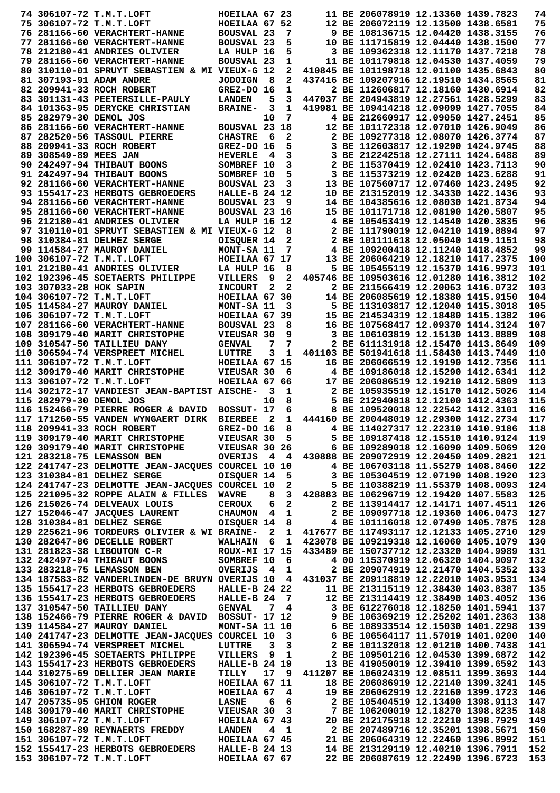|                         | 74 306107-72 T.M.T.LOFT                                                                                                                                                                                                                    | HOEILAA 67 23                |                         |              |                                                                                                                                                                                                                 | 11 BE 206078919 12.13360 1439.7823                                     |  | 74         |
|-------------------------|--------------------------------------------------------------------------------------------------------------------------------------------------------------------------------------------------------------------------------------------|------------------------------|-------------------------|--------------|-----------------------------------------------------------------------------------------------------------------------------------------------------------------------------------------------------------------|------------------------------------------------------------------------|--|------------|
|                         | 75 306107-72 T.M.T.LOFT                                                                                                                                                                                                                    | HOEILAA 67 52                |                         |              |                                                                                                                                                                                                                 | 12 BE 206072119 12.13500 1438.6581                                     |  | 75         |
|                         | 76 281166-60 VERACHTERT-HANNE                                                                                                                                                                                                              | BOUSVAL 23                   |                         | 7            |                                                                                                                                                                                                                 | 9 BE 108136715 12.04420 1438.3155                                      |  | 76         |
|                         | 77 281166-60 VERACHTERT-HANNE                                                                                                                                                                                                              | BOUSVAL 23                   |                         | 5            |                                                                                                                                                                                                                 | 10 BE 111715819 12.04440 1438.1500                                     |  | 77         |
|                         | 78 212180-41 ANDRIES OLIVIER                                                                                                                                                                                                               | LA HULP 16                   |                         | 5            |                                                                                                                                                                                                                 | 3 BE 109362318 12.11170 1437.7218                                      |  | 78         |
|                         | 79 281166-60 VERACHTERT-HANNE                                                                                                                                                                                                              | BOUSVAL 23                   |                         | 1            |                                                                                                                                                                                                                 | 11 BE 101179818 12.04530 1437.4059                                     |  | 79         |
|                         | 80 310110-01 SPRUYT SEBASTIEN & MI VIEUX-G 12                                                                                                                                                                                              |                              |                         | 2            |                                                                                                                                                                                                                 | 410845 BE 101198718 12.01100 1435.6843                                 |  | 80         |
|                         | 81 307193-91 ADAM ANDRE                                                                                                                                                                                                                    | <b>JODOIGN</b>               | - 8                     | 2            |                                                                                                                                                                                                                 | 437416 BE 109207916 12.19510 1434.8565                                 |  | 81         |
|                         | 82 209941-33 ROCH ROBERT                                                                                                                                                                                                                   | GREZ-DO 16                   |                         | 1            |                                                                                                                                                                                                                 | 2 BE 112606817 12.18160 1430.6914                                      |  | 82         |
|                         | 83 301131-43 PEETERSILLE-PAULY                                                                                                                                                                                                             | <b>LANDEN</b>                | 5                       | 3            |                                                                                                                                                                                                                 | 447037 BE 204943819 12.27561 1428.5299                                 |  | 83         |
|                         | 84 101363-95 DERYCKE CHRISTIAN                                                                                                                                                                                                             | <b>BRAINE-</b>               | 3                       | 1            |                                                                                                                                                                                                                 | 419981 BE 109414218 12.09099 1427.7055                                 |  | 84         |
| 85 282979-30 DEMOL JOS  |                                                                                                                                                                                                                                            |                              | 10                      | 7            |                                                                                                                                                                                                                 | 4 BE 212660917 12.09050 1427.2451                                      |  | 85         |
|                         | 86 281166-60 VERACHTERT-HANNE                                                                                                                                                                                                              | BOUSVAL 23 18                |                         |              |                                                                                                                                                                                                                 | 12 BE 101172318 12.07010 1426.9049                                     |  | 86         |
|                         | 87 282520-56 TASSOUL PIERRE                                                                                                                                                                                                                | <b>CHASTRE</b>               | - 6                     | 2            |                                                                                                                                                                                                                 | 2 BE 109277318 12.08070 1426.3774                                      |  | 87<br>88   |
| 89 308549-89 MEES JAN   | 88 209941-33 ROCH ROBERT                                                                                                                                                                                                                   | GREZ-DO 16                   | 4                       | 5            |                                                                                                                                                                                                                 | 3 BE 112603817 12.19290 1424.9745<br>3 BE 212242518 12.27111 1424.6488 |  | 89         |
|                         | 90 242497-94 THIBAUT BOONS                                                                                                                                                                                                                 | <b>HEVERLE</b><br>SOMBREF 10 |                         | 3<br>3       |                                                                                                                                                                                                                 | 2 BE 115370419 12.02410 1423.7113                                      |  | 90         |
|                         | 91 242497-94 THIBAUT BOONS                                                                                                                                                                                                                 | SOMBREF 10                   |                         | 5            |                                                                                                                                                                                                                 | 3 BE 115373219 12.02420 1423.6288                                      |  | 91         |
|                         | 92 281166-60 VERACHTERT-HANNE                                                                                                                                                                                                              | BOUSVAL 23                   |                         | 3            |                                                                                                                                                                                                                 | 13 BE 107560717 12.07460 1423.2495                                     |  | 92         |
|                         | 93 155417-23 HERBOTS GEBROEDERS                                                                                                                                                                                                            | HALLE-B 24 12                |                         |              |                                                                                                                                                                                                                 | 10 BE 213152019 12.34330 1422.1436                                     |  | 93         |
|                         | 94 281166-60 VERACHTERT-HANNE                                                                                                                                                                                                              | BOUSVAL 23                   |                         | 9            |                                                                                                                                                                                                                 | 14 BE 104385616 12.08030 1421.8734                                     |  | 94         |
|                         | 95 281166-60 VERACHTERT-HANNE                                                                                                                                                                                                              | BOUSVAL 23 16                |                         |              |                                                                                                                                                                                                                 | 15 BE 101171718 12.08190 1420.5807                                     |  | 95         |
|                         | 96 212180-41 ANDRIES OLIVIER                                                                                                                                                                                                               | LA HULP 16 12                |                         |              |                                                                                                                                                                                                                 | 4 BE 105453419 12.14540 1420.3835                                      |  | 96         |
|                         | 97 310110-01 SPRUYT SEBASTIEN & MI VIEUX-G 12                                                                                                                                                                                              |                              |                         | 8            |                                                                                                                                                                                                                 | 2 BE 111790019 12.04210 1419.8894                                      |  | 97         |
|                         | 98 310384-81 DELHEZ SERGE                                                                                                                                                                                                                  | OISQUER 14                   |                         | 2            |                                                                                                                                                                                                                 | 2 BE 101111618 12.05040 1419.1151                                      |  | 98         |
|                         | 99 114584-27 MAUROY DANIEL                                                                                                                                                                                                                 | MONT-SA 11                   |                         | 7            |                                                                                                                                                                                                                 | 4 BE 109200418 12.11240 1418.4852                                      |  | 99         |
|                         | 100 306107-72 T.M.T.LOFT                                                                                                                                                                                                                   | HOEILAA 67 17                |                         |              |                                                                                                                                                                                                                 | 13 BE 206064219 12.18210 1417.2375                                     |  | 100        |
|                         | 101 212180-41 ANDRIES OLIVIER                                                                                                                                                                                                              | LA HULP 16                   |                         | 8            |                                                                                                                                                                                                                 | 5 BE 105455119 12.15370 1416.9973                                      |  | 101        |
|                         | 102 192396-45 SOETAERTS PHILIPPE                                                                                                                                                                                                           | <b>VILLERS</b>               | 9                       | 2            |                                                                                                                                                                                                                 | 405746 BE 109503616 12.01280 1416.3812                                 |  | 102        |
| 103 307033-28 HOK SAPIN |                                                                                                                                                                                                                                            | <b>INCOURT</b>               | 2                       | $\mathbf{2}$ |                                                                                                                                                                                                                 | 2 BE 211566419 12.20063 1416.0732                                      |  | 103        |
|                         | 104 306107-72 T.M.T.LOFT                                                                                                                                                                                                                   | HOEILAA 67 30                |                         |              |                                                                                                                                                                                                                 | 14 BE 206085619 12.18380 1415.9150                                     |  | 104        |
|                         | 105 114584-27 MAUROY DANIEL                                                                                                                                                                                                                | MONT-SA 11                   |                         | 3            |                                                                                                                                                                                                                 | 5 BE 113103817 12.12040 1415.3018                                      |  | 105        |
|                         | 106 306107-72 T.M.T.LOFT                                                                                                                                                                                                                   | HOEILAA 67 39                |                         |              |                                                                                                                                                                                                                 | 15 BE 214534319 12.18480 1415.1382                                     |  | 106        |
|                         | 107 281166-60 VERACHTERT-HANNE                                                                                                                                                                                                             | BOUSVAL 23                   |                         | 8            |                                                                                                                                                                                                                 | 16 BE 107568417 12.09370 1414.3124                                     |  | 107        |
|                         | 108 309179-40 MARIT CHRISTOPHE                                                                                                                                                                                                             | VIEUSAR 30                   |                         | 9            |                                                                                                                                                                                                                 | 3 BE 106103819 12.15130 1413.8889                                      |  | 108        |
|                         | 109 310547-50 TAILLIEU DANY                                                                                                                                                                                                                | <b>GENVAL</b>                | 7                       | 7            |                                                                                                                                                                                                                 | 2 BE 611131918 12.15470 1413.8649                                      |  | 109        |
|                         | 110 306594-74 VERSPREET MICHEL                                                                                                                                                                                                             | LUTTRE                       | 3                       | 1            |                                                                                                                                                                                                                 | 401103 BE 501941618 11.58430 1413.7449                                 |  | 110        |
|                         | 111 306107-72 T.M.T.LOFT                                                                                                                                                                                                                   | HOEILAA 67 15                |                         |              |                                                                                                                                                                                                                 | 16 BE 206066519 12.19190 1412.7356                                     |  | 111        |
|                         | 112 309179-40 MARIT CHRISTOPHE                                                                                                                                                                                                             | VIEUSAR 30                   |                         | 6            |                                                                                                                                                                                                                 | 4 BE 109186018 12.15290 1412.6341                                      |  | 112        |
|                         | 113 306107-72 T.M.T.LOFT<br>114 302172-17 VANDIEST JEAN-BAPTIST AISCHE-                                                                                                                                                                    | HOEILAA 67 66                |                         |              |                                                                                                                                                                                                                 | 17 BE 206086519 12.19210 1412.5809                                     |  | 113        |
| 115 282979-30 DEMOL JOS |                                                                                                                                                                                                                                            |                              | 3<br>10                 | 1<br>8       |                                                                                                                                                                                                                 | 2 BE 105935519 12.15170 1412.5026<br>5 BE 212940818 12.12100 1412.4363 |  | 114<br>115 |
|                         | 116 152466-79 PIERRE ROGER & DAVID                                                                                                                                                                                                         | BOSSUT- 17                   |                         | 6            |                                                                                                                                                                                                                 | 8 BE 109520018 12.22542 1412.3101                                      |  | 116        |
|                         | 117 171260-55 VANDEN WYNGAERT DIRK                                                                                                                                                                                                         | <b>BIERBEE</b>               | $\overline{\mathbf{2}}$ | 1            |                                                                                                                                                                                                                 | 444160 BE 200448019 12.29300 1412.2734                                 |  | 117        |
|                         | 118 209941-33 ROCH ROBERT                                                                                                                                                                                                                  | GREZ-DO 16                   |                         | 8            |                                                                                                                                                                                                                 | 4 BE 114027317 12.22310 1410.9186                                      |  | 118        |
|                         | 119 309179-40 MARIT CHRISTOPHE                                                                                                                                                                                                             |                              |                         |              |                                                                                                                                                                                                                 |                                                                        |  | 119        |
|                         | 120 309179-40 MARIT CHRISTOPHE                                                                                                                                                                                                             |                              |                         |              |                                                                                                                                                                                                                 |                                                                        |  | 120        |
|                         | 121 283218-75 LEMASSON BEN                                                                                                                                                                                                                 |                              |                         |              | GREZ-DO 16 8 4 BE 114027317 12.22310 1410.9186<br>HE VIEUSAR 30 5 5 BE 109187418 12.15510 1410.9124<br>HE VIEUSAR 30 26 6 BE 109289018 12.16090 1409.5069<br>OVERIJS 4 4 430888 BE 209072919 12.20450 1409.2821 |                                                                        |  | 121        |
|                         | 122 241747-23 DELMOTTE JEAN-JACQUES COURCEL 10 10<br>123 310384-81 DELHEZ SERGE<br>124 241747-23 DELMOTTE JEAN-JACQUES COURCEL 10 2 5 BE 105304519 12.07190 1408.1920<br>124 241747-23 DELMOTTE JEAN-JACQUES COURCEL 10 2 5 BE 11038821    |                              |                         |              |                                                                                                                                                                                                                 |                                                                        |  | 122        |
|                         |                                                                                                                                                                                                                                            |                              |                         |              |                                                                                                                                                                                                                 |                                                                        |  | 123        |
|                         |                                                                                                                                                                                                                                            |                              |                         |              |                                                                                                                                                                                                                 |                                                                        |  | 124        |
|                         | 125 221095-32 ROPPE ALAIN & FILLES WAVRE                                                                                                                                                                                                   |                              |                         |              | 8 3 428883 BE 106296719 12.19420 1407.5583                                                                                                                                                                      |                                                                        |  | 125        |
|                         | 126 215026-74 DELVEAUX LOUIS                                                                                                                                                                                                               | CEROUX 6 2                   |                         |              |                                                                                                                                                                                                                 | 2 BE 113914417 12.14171 1407.4511                                      |  | 126        |
|                         | 127 152046-47 JACQUES LAURENT                                                                                                                                                                                                              |                              |                         |              | CHAUMON 4 1 2 BE 109097718 12.19360 1406.0473                                                                                                                                                                   |                                                                        |  | 127        |
|                         | 128 310384-81 DELHEZ SERGE                                                                                                                                                                                                                 |                              |                         |              | OISQUER 14 8 4 BE 101116018 12.07490 1405.7875                                                                                                                                                                  |                                                                        |  | 128        |
|                         | 129 225621-96 TORDEURS OLIVIER & WI BRAINE- 2 1 417677 BE 117493117 12.12133 1405.2710                                                                                                                                                     |                              |                         |              |                                                                                                                                                                                                                 |                                                                        |  | 129        |
|                         | 130 282647-86 DECELLE ROBERT WALHAIN 6 1 423078 BE 109219318 12.16060 1405.1079                                                                                                                                                            |                              |                         |              |                                                                                                                                                                                                                 |                                                                        |  | 130        |
|                         | 131 281823-38 LIBOUTON C-R<br>132 242497-94 THIBAUT BOONS<br>132 242497-94 THIBAUT BOONS<br>133 283218-75 LEMASSON BEN COVERIJS 4 1 2 BE 209074919 12.21470 1404.5352                                                                      |                              |                         |              |                                                                                                                                                                                                                 |                                                                        |  | 131        |
|                         |                                                                                                                                                                                                                                            |                              |                         |              |                                                                                                                                                                                                                 |                                                                        |  | 132        |
|                         |                                                                                                                                                                                                                                            |                              |                         |              |                                                                                                                                                                                                                 |                                                                        |  | 133        |
|                         | 134 187583-82 VANDERLINDEN-DE BRUYN OVERIJS 10 4 431037 BE 209118819 12.22010 1403.9531                                                                                                                                                    |                              |                         |              |                                                                                                                                                                                                                 |                                                                        |  | 134        |
|                         |                                                                                                                                                                                                                                            |                              |                         |              |                                                                                                                                                                                                                 |                                                                        |  | 135        |
|                         |                                                                                                                                                                                                                                            |                              |                         |              |                                                                                                                                                                                                                 |                                                                        |  | 136        |
|                         |                                                                                                                                                                                                                                            |                              |                         |              |                                                                                                                                                                                                                 |                                                                        |  | 137        |
|                         |                                                                                                                                                                                                                                            |                              |                         |              |                                                                                                                                                                                                                 |                                                                        |  | 138<br>139 |
|                         |                                                                                                                                                                                                                                            |                              |                         |              |                                                                                                                                                                                                                 |                                                                        |  | 140        |
|                         | 135 155417-23 HERBOTS GEBROEDERS<br>135 155417-23 HERBOTS GEBROEDERS<br>136 155417-23 HERBOTS GEBROEDERS<br>136 155417-23 HERBOTS GEBROEDERS<br>137 310547-50 TAILLIEU DANY<br>138 152466-79 PIERRE ROGER & DAVID BOSSUT- 17 12<br>138 152 |                              |                         |              |                                                                                                                                                                                                                 |                                                                        |  | 141        |
|                         |                                                                                                                                                                                                                                            |                              |                         |              |                                                                                                                                                                                                                 |                                                                        |  | 142        |
|                         | 143 155417-23 HERBOTS GEBROEDERS                                                                                                                                                                                                           | <b>HALLE-B 24 19</b>         |                         |              | 13 BE 419050019 12.39410 1399.6592                                                                                                                                                                              |                                                                        |  | 143        |
|                         | 144 310275-69 DELLIER JEAN MARIE                                                                                                                                                                                                           | TILLY                        |                         |              | 17 9 411207 BE 106024319 12.08511 1399.3693                                                                                                                                                                     |                                                                        |  | 144        |
|                         |                                                                                                                                                                                                                                            |                              |                         |              |                                                                                                                                                                                                                 |                                                                        |  | 145        |
|                         |                                                                                                                                                                                                                                            |                              |                         |              |                                                                                                                                                                                                                 |                                                                        |  | 146        |
|                         |                                                                                                                                                                                                                                            |                              |                         |              |                                                                                                                                                                                                                 |                                                                        |  |            |
|                         |                                                                                                                                                                                                                                            |                              |                         |              |                                                                                                                                                                                                                 |                                                                        |  | 147        |
|                         |                                                                                                                                                                                                                                            |                              |                         |              |                                                                                                                                                                                                                 |                                                                        |  | 148        |
|                         |                                                                                                                                                                                                                                            |                              |                         |              |                                                                                                                                                                                                                 |                                                                        |  | 149        |
|                         |                                                                                                                                                                                                                                            |                              |                         |              |                                                                                                                                                                                                                 |                                                                        |  | 150        |
|                         |                                                                                                                                                                                                                                            |                              |                         |              |                                                                                                                                                                                                                 |                                                                        |  | 151        |
|                         |                                                                                                                                                                                                                                            |                              |                         |              |                                                                                                                                                                                                                 |                                                                        |  | 152<br>153 |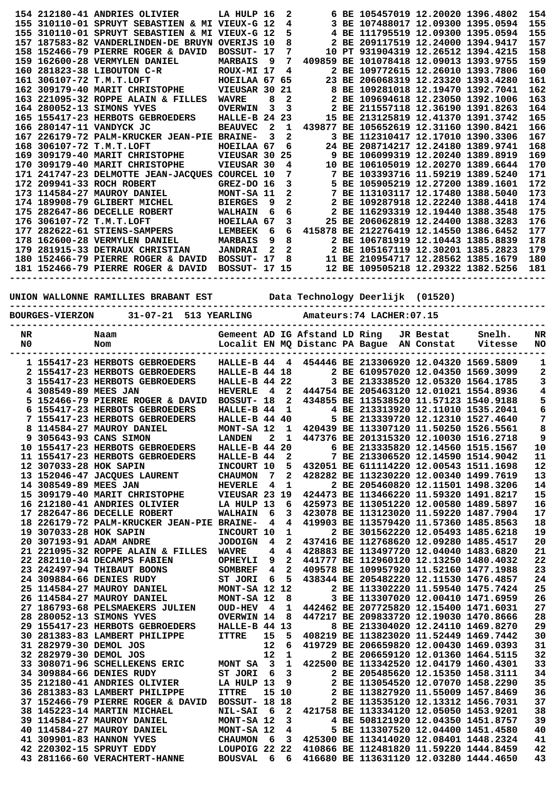|  | 154 212180-41 ANDRIES OLIVIER LA HULP 16       |                      |              | 2              |  | 6 BE 105457019 12.20020 1396.4802      |  | 154 |
|--|------------------------------------------------|----------------------|--------------|----------------|--|----------------------------------------|--|-----|
|  | 155 310110-01 SPRUYT SEBASTIEN & MI VIEUX-G 12 |                      |              | 4              |  | 3 BE 107488017 12.09300 1395.0594      |  | 155 |
|  | 155 310110-01 SPRUYT SEBASTIEN & MI            | VIEUX-G 12           |              | 5              |  | 4 BE 111795519 12.09300 1395.0594      |  | 155 |
|  | 157 187583-82 VANDERLINDEN-DE BRUYN            | OVERIJS              | 10           | 8              |  | 2 BE 209117519 12.24000 1394.9417      |  | 157 |
|  | 158 152466-79 PIERRE ROGER & DAVID             | BOSSUT- 17           |              | 7              |  | 10 PT 931904319 12.26512 1394.4215     |  | 158 |
|  | 159 162600-28 VERMYLEN DANIEL                  | <b>MARBAIS</b>       | - 9          | 7              |  | 409859 BE 101078418 12.09013 1393.9755 |  | 159 |
|  | 160 281823-38 LIBOUTON C-R                     | ROUX-MI 17           |              | 4              |  | 2 BE 109772615 12.26010 1393.7806      |  | 160 |
|  | 161 306107-72 T.M.T.LOFT                       | HOEILAA 67 65        |              |                |  | 23 BE 206068319 12.23320 1393.4280     |  | 161 |
|  | 162 309179-40 MARIT CHRISTOPHE                 | VIEUSAR 30           |              | 21             |  | 8 BE 109281018 12.19470 1392.7041      |  | 162 |
|  | 163 221095-32 ROPPE ALAIN & FILLES             | <b>WAVRE</b>         | 8            | $\overline{2}$ |  | 2 BE 109694618 12.23050 1392.1006      |  | 163 |
|  | 164 280052-13 SIMONS YVES                      | <b>OVERWIN</b>       | 3            | 3              |  | 2 BE 211557118 12.36190 1391.8263      |  | 164 |
|  | 165 155417-23 HERBOTS GEBROEDERS HALLE-B 24 23 |                      |              |                |  | 15 BE 213125819 12.41370 1391.3742     |  | 165 |
|  | 166 280147-11 VANDYCK JC                       | <b>BEAUVEC</b>       | $\mathbf{2}$ | 1              |  | 439877 BE 105652619 12.31160 1390.8421 |  | 166 |
|  | 167 226179-72 PALM-KRUCKER JEAN-PIE BRAINE-    |                      | 3            | $\mathbf{2}$   |  | 3 BE 112310417 12.17010 1390.3306      |  | 167 |
|  | 168 306107-72 T.M.T.LOFT                       | HOEILAA 67           |              | 6              |  | 24 BE 208714217 12.24180 1389.9741     |  | 168 |
|  | 169 309179-40 MARIT CHRISTOPHE                 | VIEUSAR 30           |              | 25             |  | 9 BE 106099319 12.20240 1389.8919      |  | 169 |
|  | 170 309179-40 MARIT CHRISTOPHE                 | VIEUSAR 30           |              | 4              |  | 10 BE 106105019 12.20270 1389.6644     |  | 170 |
|  | 171 241747-23 DELMOTTE JEAN-JACOUES COURCEL 10 |                      |              | 7              |  | 7 BE 103393716 11.59219 1389.5240      |  | 171 |
|  | 172 209941-33 ROCH ROBERT                      | GREZ-DO 16           |              | 3              |  | 5 BE 105905219 12.27200 1389.1601      |  | 172 |
|  | 173 114584-27 MAUROY DANIEL                    | MONT-SA 11           |              | 2              |  | 7 BE 113103117 12.17480 1388.5040      |  | 173 |
|  | 174 189908-79 GLIBERT MICHEL                   | <b>BIERGES</b>       | 9            | 2              |  | 2 BE 109287918 12.22240 1388.4418      |  | 174 |
|  | 175 282647-86 DECELLE ROBERT                   | <b>WALHAIN</b>       | 6            | 6              |  | 2 BE 116293319 12.19440 1388.3548      |  | 175 |
|  | 176 306107-72 T.M.T.LOFT                       | HOEILAA 67           |              | 3              |  | 25 BE 206062819 12.24400 1388.3283     |  | 176 |
|  |                                                | <b>LEMBEEK</b>       | 6            | 6              |  | 415878 BE 212276419 12.14550 1386.6452 |  | 177 |
|  | 178 162600-28 VERMYLEN DANIEL                  | <b>MARBAIS</b>       | 9            | 8              |  | 2 BE 106781919 12.10443 1385.8839      |  | 178 |
|  | 179 281915-33 DETRAUX CHRISTIAN                | <b>JANDRAI</b>       | $\mathbf{2}$ | $\mathbf{2}$   |  | 2 BE 105167119 12.30201 1385.2823      |  | 179 |
|  | 180 152466-79 PIERRE ROGER & DAVID             | BOSSUT- 17           |              |                |  | 8 11 BE 210954717 12.28562 1385.1679   |  | 180 |
|  | 181 152466-79 PIERRE ROGER & DAVID             | <b>BOSSUT- 17 15</b> |              |                |  | 12 BE 109505218 12.29322 1382.5256     |  | 181 |
|  |                                                |                      |              |                |  |                                        |  |     |

## **UNION WALLONNE RAMILLIES BRABANT EST Data Technology Deerlijk (01520)**

| <b>DAIDADA</b> | $\sim$ | 3-1-1-1-1-1-1-74 T3 GUER - AR |
|----------------|--------|-------------------------------|

| <b>BOURGES-VIERZON</b> | 31-07-21 513 YEARLING | Amateurs: 74 LACHER: 07.15 |
|------------------------|-----------------------|----------------------------|
|                        |                       |                            |

| NR |                        | Naam                                       |                   |              |                | Gemeent AD IG Afstand LD Ring  |  | JR Bestat  | Snelh.                                 | NR        |
|----|------------------------|--------------------------------------------|-------------------|--------------|----------------|--------------------------------|--|------------|----------------------------------------|-----------|
| N0 |                        | Nom                                        |                   |              |                | Localit EN MQ Distanc PA Bague |  | AN Constat | Vitesse                                | <b>NO</b> |
|    |                        |                                            |                   |              |                |                                |  |            |                                        |           |
|    |                        | 1 155417-23 HERBOTS GEBROEDERS             | HALLE-B 44        |              | 4              |                                |  |            | 454446 BE 213306920 12.04320 1569.5809 | 1         |
|    |                        | 2 155417-23 HERBOTS GEBROEDERS             | HALLE-B 44 18     |              |                |                                |  |            | 2 BE 610957020 12.04350 1569.3099      | 2         |
|    |                        | 3 155417-23 HERBOTS GEBROEDERS             | HALLE-B 44 22     |              |                |                                |  |            | 3 BE 213338520 12.05320 1564.1785      | 3         |
| 4  | 308549-89 MEES JAN     |                                            | <b>HEVERLE</b>    | 4            | $\mathbf{2}$   |                                |  |            | 444754 BE 205463120 12.01021 1554.8936 | 4         |
|    |                        | 5 152466-79 PIERRE ROGER & DAVID           | BOSSUT- 18        |              | 2              |                                |  |            | 434855 BE 113538520 11.57123 1540.9188 | 5         |
|    |                        | 6 155417-23 HERBOTS GEBROEDERS             | HALLE-B 44        |              | 1              |                                |  |            | 4 BE 213313920 12.11010 1535.2041      | 6         |
|    |                        | 7 155417-23 HERBOTS GEBROEDERS             | HALLE-B 44 40     |              |                |                                |  |            | 5 BE 213339720 12.12310 1527.4640      | 7         |
|    |                        | 8 114584-27 MAUROY DANIEL                  | MONT-SA 12        |              | 1              |                                |  |            | 420439 BE 113307120 11.50250 1526.5561 | 8         |
|    |                        | 9 305643-93 CANS SIMON                     | <b>LANDEN</b>     | $\mathbf{z}$ | $\mathbf{1}$   |                                |  |            | 447376 BE 201315320 12.10030 1516.2718 | 9         |
|    |                        | 10 155417-23 HERBOTS GEBROEDERS            | HALLE-B 44        |              | 20             |                                |  |            | 6 BE 213335820 12.14560 1515.1567      | 10        |
|    |                        | 11 155417-23 HERBOTS GEBROEDERS            | HALLE-B 44        |              | $\mathbf{2}$   |                                |  |            | 7 BE 213306520 12.14590 1514.9042      | 11        |
|    | 12 307033-28 HOK SAPIN |                                            | INCOURT 10        |              | 5              |                                |  |            | 432051 BE 611114220 12.00543 1511.1698 | 12        |
|    |                        | 13 152046-47 JACQUES LAURENT               | <b>CHAUMON</b>    | 7            | $\overline{a}$ |                                |  |            | 428282 BE 113230220 12.00340 1499.7619 | 13        |
|    | 14 308549-89 MEES JAN  |                                            | <b>HEVERLE</b>    | 4            | 1              |                                |  |            | 2 BE 205460820 12.11501 1498.3206      | 14        |
|    |                        | 15 309179-40 MARIT CHRISTOPHE              | VIEUSAR 23 19     |              |                |                                |  |            | 424473 BE 113466220 11.59320 1491.8217 | 15        |
|    |                        | 16 212180-41 ANDRIES OLIVIER               | LA HULP 13        |              | 6              |                                |  |            | 425973 BE 113051220 12.00580 1489.5897 | 16        |
|    |                        | 17 282647-86 DECELLE ROBERT                | WALHAIN           | 6            | 3              |                                |  |            | 423078 BE 113123020 11.59220 1487.7904 | 17        |
|    |                        | 18 226179-72 PALM-KRUCKER JEAN-PIE BRAINE- |                   | 4            | 4              |                                |  |            | 419903 BE 113579420 11.57360 1485.8563 | 18        |
|    | 19 307033-28 HOK SAPIN |                                            | INCOURT 10        |              | 1              |                                |  |            | 2 BE 301562220 12.05493 1485.6218      | 19        |
|    |                        | 20 307193-91 ADAM ANDRE                    | <b>JODOIGN</b>    | 4            | 2              |                                |  |            | 437416 BE 112768620 12.09280 1485.4517 | 20        |
|    |                        | 21 221095-32 ROPPE ALAIN & FILLES          | <b>WAVRE</b>      | 4            | 4              |                                |  |            | 428883 BE 113497720 12.04040 1483.6820 | 21        |
|    |                        | 22 282110-34 DECAMPS FABIEN                | <b>OPHEYLI</b>    | 9            | $\mathbf{z}$   |                                |  |            | 441777 BE 112960120 12.13250 1480.4032 | 22        |
|    |                        | 23 242497-94 THIBAUT BOONS                 | SOMBREF           | 4            | $\mathbf{2}$   |                                |  |            | 409578 BE 109957920 11.52160 1477.1988 | 23        |
|    |                        | 24 309884-66 DENIES RUDY                   | ST JORI           | 6            | 5              |                                |  |            | 438344 BE 205482220 12.11530 1476.4857 | 24        |
|    |                        | 25 114584-27 MAUROY DANIEL                 | MONT-SA 12 12     |              |                |                                |  |            | 2 BE 113302220 11.59540 1475.7424      | 25        |
|    |                        | 26 114584-27 MAUROY DANIEL                 | MONT-SA 12        |              | 8              |                                |  |            | 3 BE 113307020 12.00410 1471.6959      | 26        |
|    |                        | 27 186793-68 PELSMAEKERS JULIEN            | <b>OUD-HEV</b>    | 4            | 1              |                                |  |            | 442462 BE 207725820 12.15400 1471.6031 | 27        |
|    |                        | 28 280052-13 SIMONS YVES                   | <b>OVERWIN 14</b> |              | 8              |                                |  |            | 447217 BE 209833720 12.19030 1470.8666 | 28        |
|    |                        | 29 155417-23 HERBOTS GEBROEDERS            | HALLE-B 44        |              | 13             |                                |  |            | 8 BE 213304020 12.24110 1469.8270      | 29        |
|    |                        | 30 281383-83 LAMBERT PHILIPPE              | <b>ITTRE</b>      | 15           | 5              |                                |  |            | 408219 BE 113823020 11.52449 1469.7442 | 30        |
|    | 31 282979-30 DEMOL JOS |                                            |                   | 12           | 6              |                                |  |            | 419729 BE 206659820 12.00430 1469.0393 | 31        |
|    | 32 282979-30 DEMOL JOS |                                            |                   | 12           | $\mathbf{1}$   |                                |  |            | 2 BE 206659120 12.01360 1464.5115      | 32        |
|    |                        | 33 308071-96 SCHELLEKENS ERIC              | MONT SA           | 3            | $\mathbf 1$    |                                |  |            | 422500 BE 113342520 12.04179 1460.4301 | 33        |
|    |                        | 34 309884-66 DENIES RUDY                   | ST JORI           | 6            | 3              |                                |  |            | 2 BE 205485620 12.15350 1458.3111      | 34        |
|    |                        | 35 212180-41 ANDRIES OLIVIER               | LA HULP 13        |              | 9              |                                |  |            | 2 BE 113054520 12.07070 1458.2290      | 35        |
|    |                        | 36 281383-83 LAMBERT PHILIPPE              | <b>ITTRE</b>      | 15           | 10             |                                |  |            | 2 BE 113827920 11.55009 1457.8469      | 36        |
|    |                        | 37 152466-79 PIERRE ROGER & DAVID          | BOSSUT- 18        |              | 18             |                                |  |            | 2 BE 113535120 12.13312 1456.7031      | 37        |
|    |                        | 38 145223-14 MARTIN MICHAEL                | <b>NIL-SAI</b>    | 6            | $\mathbf{2}$   |                                |  |            | 421758 BE 113334120 12.05050 1453.9201 | 38        |
|    |                        | 39 114584-27 MAUROY DANIEL                 | MONT-SA 12        |              | 3              |                                |  |            | 4 BE 508121920 12.04350 1451.8757      | 39        |
|    |                        | 40 114584-27 MAUROY DANIEL                 | MONT-SA 12        |              | 4              |                                |  |            | 5 BE 113307520 12.04400 1451.4580      | 40        |
|    |                        | 41 309901-83 HANNON YVES                   | <b>CHAUMON</b>    | 6            | 3              |                                |  |            | 425300 BE 113414020 12.08401 1448.2324 | 41        |
|    |                        | 42 220302-15 SPRUYT EDDY                   | LOUPOIG 22        |              | 22             |                                |  |            | 410866 BE 112481820 11.59220 1444.8459 | 42        |
|    |                        | 43 281166-60 VERACHTERT-HANNE              | <b>BOUSVAL</b>    | 6            | 6              |                                |  |            | 416680 BE 113631120 12.03280 1444.4650 | 43        |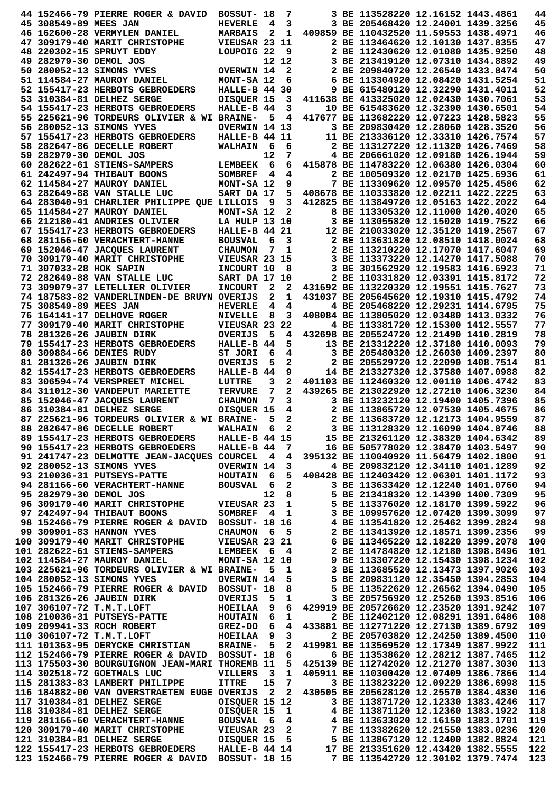|                        | 44 152466-79 PIERRE ROGER & DAVID                                                                                                                                                                                                                                                                                                 | BOSSUT- 18           |                         | 7                       |                                                                                                                                                                                                                                            | 3 BE 113528220 12.16152 1443.4861      |  | 44         |
|------------------------|-----------------------------------------------------------------------------------------------------------------------------------------------------------------------------------------------------------------------------------------------------------------------------------------------------------------------------------|----------------------|-------------------------|-------------------------|--------------------------------------------------------------------------------------------------------------------------------------------------------------------------------------------------------------------------------------------|----------------------------------------|--|------------|
| 45 308549-89 MEES JAN  |                                                                                                                                                                                                                                                                                                                                   | <b>HEVERLE</b>       | $\overline{4}$          | 3                       |                                                                                                                                                                                                                                            | 3 BE 205468420 12.24001 1439.3256      |  | 45         |
|                        | 46 162600-28 VERMYLEN DANIEL                                                                                                                                                                                                                                                                                                      | <b>MARBAIS</b>       | 2                       | 1                       | 409859 BE 110432520 11.59553 1438.4971                                                                                                                                                                                                     |                                        |  | 46         |
|                        | 47 309179-40 MARIT CHRISTOPHE                                                                                                                                                                                                                                                                                                     | VIEUSAR 23 11        |                         |                         |                                                                                                                                                                                                                                            | 2 BE 113464620 12.10130 1437.8355      |  | 47         |
|                        | 48 220302-15 SPRUYT EDDY                                                                                                                                                                                                                                                                                                          | LOUPOIG 22           |                         | - 9                     |                                                                                                                                                                                                                                            | 2 BE 112430620 12.01080 1435.9250      |  | 48         |
| 49 282979-30 DEMOL JOS |                                                                                                                                                                                                                                                                                                                                   |                      |                         | 12 12                   |                                                                                                                                                                                                                                            | 3 BE 213419120 12.07310 1434.8892      |  | 49         |
|                        |                                                                                                                                                                                                                                                                                                                                   |                      |                         |                         |                                                                                                                                                                                                                                            |                                        |  |            |
|                        | 50 280052-13 SIMONS YVES                                                                                                                                                                                                                                                                                                          | <b>OVERWIN 14</b>    |                         | $\overline{\mathbf{2}}$ |                                                                                                                                                                                                                                            | 2 BE 209840720 12.26540 1433.8474      |  | 50         |
|                        | 51 114584-27 MAUROY DANIEL                                                                                                                                                                                                                                                                                                        | MONT-SA 12           |                         | 6                       |                                                                                                                                                                                                                                            | 6 BE 113304920 12.08420 1431.5254      |  | 51         |
|                        | 52 155417-23 HERBOTS GEBROEDERS                                                                                                                                                                                                                                                                                                   | <b>HALLE-B 44 30</b> |                         |                         |                                                                                                                                                                                                                                            | 9 BE 615480120 12.32290 1431.4011      |  | 52         |
|                        | 53 310384-81 DELHEZ SERGE                                                                                                                                                                                                                                                                                                         | OISQUER 15           |                         | 3                       | 411638 BE 413325020 12.02430 1430.7061                                                                                                                                                                                                     |                                        |  | 53         |
|                        | 54 155417-23 HERBOTS GEBROEDERS                                                                                                                                                                                                                                                                                                   | HALLE-B 44           |                         | 3                       |                                                                                                                                                                                                                                            | 10 BE 615483620 12.32390 1430.6501     |  | 54         |
|                        | 55 225621-96 TORDEURS OLIVIER & WI BRAINE-                                                                                                                                                                                                                                                                                        |                      | 5                       | 4                       | 417677 BE 113682220 12.07223 1428.5823                                                                                                                                                                                                     |                                        |  | 55         |
|                        | 56 280052-13 SIMONS YVES                                                                                                                                                                                                                                                                                                          | OVERWIN 14 13        |                         |                         |                                                                                                                                                                                                                                            | 3 BE 209830420 12.28060 1428.3520      |  | 56         |
|                        | 57 155417-23 HERBOTS GEBROEDERS                                                                                                                                                                                                                                                                                                   | HALLE-B 44 11        |                         |                         |                                                                                                                                                                                                                                            | 11 BE 213336120 12.33310 1426.7574     |  | 57         |
|                        |                                                                                                                                                                                                                                                                                                                                   |                      | - 6                     | 6                       |                                                                                                                                                                                                                                            | 2 BE 113127220 12.11320 1426.7469      |  | 58         |
|                        | 58 282647-86 DECELLE ROBERT                                                                                                                                                                                                                                                                                                       | <b>WALHAIN</b>       |                         |                         |                                                                                                                                                                                                                                            |                                        |  |            |
| 59 282979-30 DEMOL JOS |                                                                                                                                                                                                                                                                                                                                   |                      | 12                      | 7                       |                                                                                                                                                                                                                                            | 4 BE 206661020 12.09180 1426.1944      |  | 59         |
|                        | 60 282622-61 STIENS-SAMPERS                                                                                                                                                                                                                                                                                                       | <b>LEMBEEK</b>       | 6                       | 6                       |                                                                                                                                                                                                                                            | 415878 BE 114783220 12.06380 1426.0304 |  | 60         |
|                        | 61 242497-94 THIBAUT BOONS                                                                                                                                                                                                                                                                                                        | <b>SOMBREF</b>       | $\overline{\mathbf{4}}$ | 4                       |                                                                                                                                                                                                                                            | 2 BE 100509320 12.02170 1425.6936      |  | 61         |
|                        | 62 114584-27 MAUROY DANIEL                                                                                                                                                                                                                                                                                                        | MONT-SA 12           |                         | 9                       |                                                                                                                                                                                                                                            | 7 BE 113309620 12.09570 1425.4586      |  | 62         |
|                        | 63 282649-88 VAN STALLE LUC                                                                                                                                                                                                                                                                                                       | SART DA 17           |                         | 5                       | 408678 BE 110333820 12.02211 1422.2225                                                                                                                                                                                                     |                                        |  | 63         |
|                        | 64 283040-91 CHARLIER PHILIPPE QUE LILLOIS                                                                                                                                                                                                                                                                                        |                      | - 9                     | $\mathbf{3}$            |                                                                                                                                                                                                                                            | 412825 BE 113849720 12.05163 1422.2022 |  | 64         |
|                        | 65 114584-27 MAUROY DANIEL                                                                                                                                                                                                                                                                                                        | MONT-SA 12           |                         | $\mathbf{2}$            |                                                                                                                                                                                                                                            | 8 BE 113305320 12.11000 1420.4020      |  | 65         |
|                        | 66 212180-41 ANDRIES OLIVIER                                                                                                                                                                                                                                                                                                      | <b>LA HULP 13 10</b> |                         |                         |                                                                                                                                                                                                                                            | 3 BE 113055820 12.15020 1419.7522      |  | 66         |
|                        | 67 155417-23 HERBOTS GEBROEDERS                                                                                                                                                                                                                                                                                                   | HALLE-B 44 21        |                         |                         |                                                                                                                                                                                                                                            | 12 BE 210033020 12.35120 1419.2567     |  | 67         |
|                        | 68 281166-60 VERACHTERT-HANNE                                                                                                                                                                                                                                                                                                     |                      | 6                       |                         |                                                                                                                                                                                                                                            | 2 BE 113631820 12.08510 1418.0024      |  | 68         |
|                        |                                                                                                                                                                                                                                                                                                                                   | <b>BOUSVAL</b>       |                         | 3                       |                                                                                                                                                                                                                                            |                                        |  |            |
|                        | 69 152046-47 JACQUES LAURENT                                                                                                                                                                                                                                                                                                      | <b>CHAUMON</b>       | 7                       | 1                       |                                                                                                                                                                                                                                            | 2 BE 113210220 12.17070 1417.6047      |  | 69         |
|                        | 70 309179-40 MARIT CHRISTOPHE                                                                                                                                                                                                                                                                                                     | VIEUSAR 23 15        |                         |                         |                                                                                                                                                                                                                                            | 3 BE 113373220 12.14270 1417.5088      |  | 70         |
| 71 307033-28 HOK SAPIN |                                                                                                                                                                                                                                                                                                                                   | INCOURT 10           |                         | 8                       |                                                                                                                                                                                                                                            | 3 BE 301562920 12.19583 1416.6923      |  | 71         |
|                        | 72 282649-88 VAN STALLE LUC                                                                                                                                                                                                                                                                                                       | SART DA 17 10        |                         |                         |                                                                                                                                                                                                                                            | 2 BE 110331820 12.03391 1415.8172      |  | 72         |
|                        | 73 309079-37 LETELLIER OLIVIER                                                                                                                                                                                                                                                                                                    | <b>INCOURT</b>       | $\mathbf{2}$            | $\mathbf{2}$            | 431692 BE 113220320 12.19551 1415.7627                                                                                                                                                                                                     |                                        |  | 73         |
|                        | 74 187583-82 VANDERLINDEN-DE BRUYN OVERIJS                                                                                                                                                                                                                                                                                        |                      | $\mathbf{2}$            | 1                       |                                                                                                                                                                                                                                            | 431037 BE 205645620 12.19310 1415.4792 |  | 74         |
| 75 308549-89 MEES JAN  |                                                                                                                                                                                                                                                                                                                                   | <b>HEVERLE</b>       | 4                       | 4                       |                                                                                                                                                                                                                                            | 4 BE 205468220 12.29231 1414.6795      |  | 75         |
|                        | 76 164141-17 DELHOVE ROGER                                                                                                                                                                                                                                                                                                        | <b>NIVELLE</b>       | 8                       | 3                       |                                                                                                                                                                                                                                            | 408084 BE 113805020 12.03480 1413.0332 |  | 76         |
|                        | 77 309179-40 MARIT CHRISTOPHE                                                                                                                                                                                                                                                                                                     | VIEUSAR 23 22        |                         |                         |                                                                                                                                                                                                                                            | 4 BE 113381720 12.15300 1412.5557      |  | 77         |
|                        |                                                                                                                                                                                                                                                                                                                                   |                      |                         |                         |                                                                                                                                                                                                                                            |                                        |  |            |
|                        | 78 281326-26 JAUBIN DIRK                                                                                                                                                                                                                                                                                                          | <b>OVERIJS</b>       | 5                       | 4                       |                                                                                                                                                                                                                                            | 432698 BE 205524720 12.21490 1410.2819 |  | 78         |
|                        | 79 155417-23 HERBOTS GEBROEDERS                                                                                                                                                                                                                                                                                                   | HALLE-B 44           |                         | 5                       |                                                                                                                                                                                                                                            | 13 BE 213312220 12.37180 1410.0093     |  | 79         |
|                        | 80 309884-66 DENIES RUDY                                                                                                                                                                                                                                                                                                          | ST JORI              | 6                       | 4                       |                                                                                                                                                                                                                                            | 3 BE 205480320 12.26030 1409.2397      |  | 80         |
|                        | 81 281326-26 JAUBIN DIRK                                                                                                                                                                                                                                                                                                          | <b>OVERIJS</b>       | 5                       | 2                       |                                                                                                                                                                                                                                            | 2 BE 205529720 12.22090 1408.7514      |  | 81         |
|                        | 82 155417-23 HERBOTS GEBROEDERS                                                                                                                                                                                                                                                                                                   | HALLE-B 44           |                         | 9                       |                                                                                                                                                                                                                                            | 14 BE 213327320 12.37580 1407.0988     |  | 82         |
|                        | 83 306594-74 VERSPREET MICHEL                                                                                                                                                                                                                                                                                                     | LUTTRE               | 3                       | 2                       | 401103 BE 112460320 12.00110 1406.4742                                                                                                                                                                                                     |                                        |  | 83         |
|                        | 84 311012-30 VANDEPUT MARIETTE                                                                                                                                                                                                                                                                                                    | <b>TERVURE</b>       | 7                       | $\mathbf{2}$            |                                                                                                                                                                                                                                            | 439265 BE 213022920 12.27210 1406.3230 |  | 84         |
|                        | 85 152046-47 JACQUES LAURENT                                                                                                                                                                                                                                                                                                      | <b>CHAUMON</b>       | $\overline{7}$          | 3                       |                                                                                                                                                                                                                                            | 3 BE 113232120 12.19400 1405.7396      |  | 85         |
|                        | 86 310384-81 DELHEZ SERGE                                                                                                                                                                                                                                                                                                         | OISQUER 15           |                         | 4                       |                                                                                                                                                                                                                                            | 2 BE 113865720 12.07530 1405.4675      |  | 86         |
|                        | 87 225621-96 TORDEURS OLIVIER & WI BRAINE-                                                                                                                                                                                                                                                                                        |                      | 5                       | 2                       |                                                                                                                                                                                                                                            | 2 BE 113683720 12.12173 1404.9559      |  | 87         |
|                        |                                                                                                                                                                                                                                                                                                                                   |                      |                         |                         |                                                                                                                                                                                                                                            |                                        |  |            |
|                        | 88 282647-86 DECELLE ROBERT                                                                                                                                                                                                                                                                                                       | <b>WALHAIN</b>       |                         | $\mathbf{2}$<br>6       |                                                                                                                                                                                                                                            | 3 BE 113128320 12.16090 1404.8746      |  | 88         |
|                        | 89 155417-23 HERBOTS GEBROEDERS                                                                                                                                                                                                                                                                                                   | <b>HALLE-B 44 15</b> |                         |                         | 15 BE 213261120 12.38320 1404.6342                                                                                                                                                                                                         |                                        |  | 89         |
|                        | 90 155417-23 HERBOTS GEBROEDERS                                                                                                                                                                                                                                                                                                   | $HALLE-B$ 44 7       |                         |                         |                                                                                                                                                                                                                                            | 16 BE 505778020 12.38470 1403.5497     |  | 90         |
|                        | 91 241747-23 DELMOTTE JEAN-JACQUES COURCEL 4 4                                                                                                                                                                                                                                                                                    |                      |                         |                         |                                                                                                                                                                                                                                            | 395132 BE 110040920 11.56479 1402.1800 |  | 91         |
|                        | 92 280052-13 SIMONS YVES                                                                                                                                                                                                                                                                                                          | <b>OVERWIN 14</b>    |                         |                         | $3^{\circ}$                                                                                                                                                                                                                                | 4 BE 209832120 12.34110 1401.1289      |  | 92         |
|                        | 93 210036-31 PUTSEYS-PATTE                                                                                                                                                                                                                                                                                                        |                      |                         |                         | HOUTAIN 6 5 408428 BE 112403420 12.06301 1401.1172                                                                                                                                                                                         |                                        |  | 93         |
|                        | 94 281166-60 VERACHTERT-HANNE BOUSVAL                                                                                                                                                                                                                                                                                             |                      |                         | 6 2                     |                                                                                                                                                                                                                                            | 3 BE 113633420 12.12240 1401.0760      |  | 94         |
| 95 282979-30 DEMOL JOS |                                                                                                                                                                                                                                                                                                                                   |                      | 12 <sub>1</sub>         | 8 <sup>1</sup>          |                                                                                                                                                                                                                                            | 5 BE 213418320 12.14390 1400.7309      |  | 95         |
|                        | دمان المستعلات المحدود 95 2829/9-30<br>196 309179-40 MARIT CHRISTOPHE VIEUSAR 23<br>197 242497-94 THIBAUT BOONS SOMBREF 4                                                                                                                                                                                                         |                      |                         |                         |                                                                                                                                                                                                                                            | 5 BE 113376020 12.18170 1399.5922      |  | 96         |
|                        |                                                                                                                                                                                                                                                                                                                                   |                      |                         |                         | 3 BE 109957620 12.07420 1399.3099                                                                                                                                                                                                          |                                        |  | 97         |
|                        | 98 152466-79 PIERRE ROGER & DAVID BOSSUT- 18 16                                                                                                                                                                                                                                                                                   |                      |                         |                         | 4 1<br>4 BE 113541820 12.25462 1399.2824<br>6 5 2 BE 113413920 12.18571 1399.2356<br>23 21 6 BE 113465220 12.18220 1399.2078<br>6 4 2 BE 114784820 12.12180 1398.8496<br>12 10 9 BE 113307220 12.15430 1398.1234<br>5 1 3 BE 113685520 12. |                                        |  | 98         |
|                        | 99 309901-83 HANNON YVES                                                                                                                                                                                                                                                                                                          |                      |                         |                         |                                                                                                                                                                                                                                            |                                        |  |            |
|                        |                                                                                                                                                                                                                                                                                                                                   | <b>CHAUMON</b>       |                         |                         |                                                                                                                                                                                                                                            |                                        |  | 99         |
|                        | 100 309179-40 MARIT CHRISTOPHE VIEUSAR 23 21                                                                                                                                                                                                                                                                                      |                      |                         |                         |                                                                                                                                                                                                                                            |                                        |  | 100        |
|                        | 101 282622-61 STIENS-SAMPERS LEMBEEK                                                                                                                                                                                                                                                                                              |                      |                         |                         |                                                                                                                                                                                                                                            |                                        |  | 101        |
|                        | 102 114584-27 MAUROY DANIEL                                                                                                                                                                                                                                                                                                       | <b>MONT-SA 12 10</b> |                         |                         |                                                                                                                                                                                                                                            |                                        |  | 102        |
|                        | 103 225621-96 TORDEURS OLIVIER & WI BRAINE-                                                                                                                                                                                                                                                                                       |                      |                         |                         |                                                                                                                                                                                                                                            |                                        |  | 103        |
|                        | 104 280052-13 SIMONS YVES                                                                                                                                                                                                                                                                                                         | <b>OVERWIN 14</b>    |                         |                         |                                                                                                                                                                                                                                            |                                        |  | 104        |
|                        | 105 152466-79 PIERRE ROGER & DAVID BOSSUT- 18                                                                                                                                                                                                                                                                                     |                      |                         | 8                       |                                                                                                                                                                                                                                            | 5 BE 113522620 12.26562 1394.0490      |  | 105        |
|                        | 106 281326-26 JAUBIN DIRK                                                                                                                                                                                                                                                                                                         | OVERIJS              | - 5                     | $\mathbf{1}$            |                                                                                                                                                                                                                                            | 3 BE 205756920 12.25260 1393.8516      |  | 106        |
|                        |                                                                                                                                                                                                                                                                                                                                   |                      |                         | 6                       | 429919 BE 205726620 12.23520 1391.9242                                                                                                                                                                                                     |                                        |  | 107        |
|                        |                                                                                                                                                                                                                                                                                                                                   |                      |                         | $\mathbf{1}$            |                                                                                                                                                                                                                                            | 2 BE 112402120 12.08291 1391.6486      |  | 108        |
|                        |                                                                                                                                                                                                                                                                                                                                   |                      |                         |                         |                                                                                                                                                                                                                                            |                                        |  |            |
|                        | 107 306107-72 T.M.T.LOFT<br>108 210036-31 PUTSEYS-PATTE HOUTAIN 6<br>109 209941-33 ROCH ROBERT GREZ-DO 6                                                                                                                                                                                                                          |                      |                         | 4                       |                                                                                                                                                                                                                                            | 433881 BE 112771220 12.27130 1389.6792 |  | 109        |
|                        | HOEILAA<br>110 306107-72 T.M.T.LOFT                                                                                                                                                                                                                                                                                               |                      | 9                       | 3                       |                                                                                                                                                                                                                                            | 2 BE 205703820 12.24250 1389.4500      |  | 110        |
|                        | 111 101363-95 DERYCKE CHRISTIAN BRAINE-                                                                                                                                                                                                                                                                                           |                      | $-5$                    | 2                       | 419981 BE 113569520 12.17349 1387.9922                                                                                                                                                                                                     |                                        |  | 111        |
|                        | 112 152466-79 PIERRE ROGER & DAVID BOSSUT- 18                                                                                                                                                                                                                                                                                     |                      |                         | 6                       |                                                                                                                                                                                                                                            | 6 BE 113538620 12.28212 1387.7465      |  | 112        |
|                        | 113 175503-30 BOURGUIGNON JEAN-MARI THOREMB 11                                                                                                                                                                                                                                                                                    |                      |                         |                         | 5 425139 BE 112742020 12.21270 1387.3030                                                                                                                                                                                                   |                                        |  | 113        |
|                        | 114 302518-72 GOETHALS LUC                                                                                                                                                                                                                                                                                                        | VILLERS              | $\overline{\mathbf{3}}$ | 1                       | 405911 BE 110300420 12.07409 1386.7866                                                                                                                                                                                                     |                                        |  | 114        |
|                        |                                                                                                                                                                                                                                                                                                                                   | <b>ITTRE</b>         | 15                      | <b>7</b>                |                                                                                                                                                                                                                                            | 3 BE 113823220 12.09229 1386.6998      |  | 115        |
|                        | 115 281383-83 LAMBERT PHILIPPE                                                                                                                                                                                                                                                                                                    |                      |                         |                         |                                                                                                                                                                                                                                            |                                        |  |            |
|                        |                                                                                                                                                                                                                                                                                                                                   |                      |                         |                         |                                                                                                                                                                                                                                            |                                        |  |            |
|                        | 116 184882-00 VAN OVERSTRAETEN EUGE OVERIJS 2 2 430505 BE 205628120 12.25570 1384.4830                                                                                                                                                                                                                                            |                      |                         |                         |                                                                                                                                                                                                                                            |                                        |  | 116        |
|                        | 117 310384-81 DELHEZ SERGE                                                                                                                                                                                                                                                                                                        | OISQUER 15 12        |                         |                         |                                                                                                                                                                                                                                            | 3 BE 113871720 12.12330 1383.4246      |  | 117        |
|                        |                                                                                                                                                                                                                                                                                                                                   |                      |                         |                         |                                                                                                                                                                                                                                            |                                        |  | 118        |
|                        |                                                                                                                                                                                                                                                                                                                                   |                      |                         |                         |                                                                                                                                                                                                                                            |                                        |  | 119        |
|                        |                                                                                                                                                                                                                                                                                                                                   |                      |                         |                         |                                                                                                                                                                                                                                            |                                        |  | 120        |
|                        |                                                                                                                                                                                                                                                                                                                                   |                      |                         |                         |                                                                                                                                                                                                                                            |                                        |  | 121        |
|                        | 117 310384-81 DELHEZ SERGE<br>118 310384-81 DELHEZ SERGE<br>118 310384-81 DELHEZ SERGE<br>120 309179-40 MARIT CHRISTOPHE<br>120 309179-40 MARIT CHRISTOPHE<br>120 309179-40 MARIT CHRISTOPHE<br>121 310384-81 DELHEZ SERGE<br>121 310384-81<br>123 152466-79 PIERRE ROGER & DAVID BOSSUT- 18 15 7 BE 113542720 12.30102 1379.7474 |                      |                         |                         |                                                                                                                                                                                                                                            |                                        |  | 122<br>123 |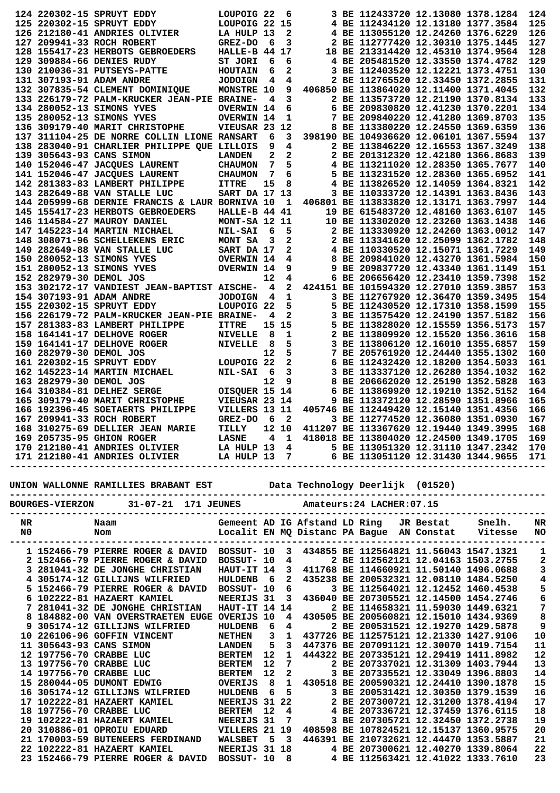|               |                         | 124 220302-15 SPRUYT EDDY                                                                                                                                                                                                                                                                                                                             | LOUPOIG <sub>22</sub>                        |                 | 6      |  | 3 BE 112433720 12.13080 1378.1284                                       |                                   | 124                                   |
|---------------|-------------------------|-------------------------------------------------------------------------------------------------------------------------------------------------------------------------------------------------------------------------------------------------------------------------------------------------------------------------------------------------------|----------------------------------------------|-----------------|--------|--|-------------------------------------------------------------------------|-----------------------------------|---------------------------------------|
|               |                         | 125 220302-15 SPRUYT EDDY                                                                                                                                                                                                                                                                                                                             | LOUPOIG 22 15                                |                 |        |  | 4 BE 112434120 12.13180 1377.3584                                       |                                   | 125                                   |
|               |                         | 126 212180-41 ANDRIES OLIVIER                                                                                                                                                                                                                                                                                                                         | LA HULP 13                                   |                 | 2      |  | 4 BE 113055120 12.24260 1376.6229                                       |                                   | 126                                   |
|               |                         | 127 209941-33 ROCH ROBERT                                                                                                                                                                                                                                                                                                                             | <b>GREZ-DO</b>                               | 6               | 3      |  | 2 BE 112777420 12.30310 1375.1445                                       |                                   | 127                                   |
|               |                         | 128 155417-23 HERBOTS GEBROEDERS                                                                                                                                                                                                                                                                                                                      | HALLE-B 44                                   |                 | 17     |  | 18 BE 213314420 12.45310 1374.9564                                      |                                   | 128                                   |
|               |                         | 129 309884-66 DENIES RUDY                                                                                                                                                                                                                                                                                                                             | ST JORI                                      | 6               | 6      |  | 4 BE 205481520 12.33550 1374.4782                                       |                                   | 129                                   |
|               |                         | 130 210036-31 PUTSEYS-PATTE                                                                                                                                                                                                                                                                                                                           | <b>HOUTAIN</b>                               | 6<br>4          | 2      |  | 3 BE 112403520 12.12221 1373.4751<br>2 BE 112765520 12.33450 1372.2855  |                                   | 130<br>131                            |
|               |                         | 131 307193-91 ADAM ANDRE<br>132 307835-54 CLEMENT DOMINIQUE                                                                                                                                                                                                                                                                                           | <b>JODOIGN</b><br><b>MONSTRE 10</b>          |                 | 4<br>9 |  | 406850 BE 113864020 12.11400 1371.4045                                  |                                   | 132                                   |
|               |                         | 133 226179-72 PALM-KRUCKER JEAN-PIE BRAINE-                                                                                                                                                                                                                                                                                                           |                                              | 4               | 3      |  | 2 BE 113573720 12.21190 1370.8134                                       |                                   | 133                                   |
|               |                         | 134 280052-13 SIMONS YVES                                                                                                                                                                                                                                                                                                                             | <b>OVERWIN 14</b>                            |                 | 6      |  | 6 BE 209830820 12.41230 1370.2201                                       |                                   | 134                                   |
|               |                         | 135 280052-13 SIMONS YVES                                                                                                                                                                                                                                                                                                                             | <b>OVERWIN 14</b>                            |                 | 1      |  | 7 BE 209840220 12.41280 1369.8703                                       |                                   | 135                                   |
|               |                         | 136 309179-40 MARIT CHRISTOPHE                                                                                                                                                                                                                                                                                                                        | VIEUSAR 23 12                                |                 |        |  | 8 BE 113380220 12.24550 1369.6359                                       |                                   | 136                                   |
|               |                         | 137 311104-25 DE NORRE COLLIN LIONE RANSART                                                                                                                                                                                                                                                                                                           |                                              | 6               | 3      |  | 398190 BE 104936620 12.06101 1367.5594                                  |                                   | 137                                   |
|               |                         | 138 283040-91 CHARLIER PHILIPPE QUE LILLOIS                                                                                                                                                                                                                                                                                                           |                                              | 9               | 4      |  | 2 BE 113846220 12.16553 1367.3249                                       |                                   | 138                                   |
|               |                         | 139 305643-93 CANS SIMON                                                                                                                                                                                                                                                                                                                              | <b>LANDEN</b>                                | 2               | 2      |  | 2 BE 201312320 12.42180 1366.8683                                       |                                   | 139                                   |
|               |                         | 140 152046-47 JACQUES LAURENT                                                                                                                                                                                                                                                                                                                         | <b>CHAUMON</b>                               | 7               | 5      |  | 4 BE 113211020 12.28350 1365.7677                                       |                                   | 140                                   |
|               |                         | 141 152046-47 JACQUES LAURENT                                                                                                                                                                                                                                                                                                                         | <b>CHAUMON</b>                               | 7               | 6      |  | 5 BE 113231520 12.28360 1365.6952                                       |                                   | 141                                   |
|               |                         | 142 281383-83 LAMBERT PHILIPPE                                                                                                                                                                                                                                                                                                                        | <b>ITTRE</b>                                 | 15              | 8      |  | 4 BE 113826520 12.14059 1364.8321                                       |                                   | 142                                   |
|               |                         | 143 282649-88 VAN STALLE LUC                                                                                                                                                                                                                                                                                                                          | <b>SART DA 17 13</b>                         |                 |        |  | 3 BE 110333720 12.14391 1363.8436                                       |                                   | 143                                   |
|               |                         | 144 205999-68 DERNIE FRANCIS & LAUR BORNIVA 10                                                                                                                                                                                                                                                                                                        |                                              |                 | - 1    |  | 406801 BE 113833820 12.13171 1363.7997                                  |                                   | 144                                   |
|               |                         | 145 155417-23 HERBOTS GEBROEDERS                                                                                                                                                                                                                                                                                                                      | HALLE-B 44 41                                |                 |        |  | 19 BE 615483720 12.48160 1363.6107                                      |                                   | 145                                   |
|               |                         | 146 114584-27 MAUROY DANIEL                                                                                                                                                                                                                                                                                                                           | MONT-SA 12 11                                |                 |        |  | 10 BE 113302020 12.23260 1363.1438<br>2 BE 113330920 12.24260 1363.0012 |                                   | 146                                   |
|               |                         | 147 145223-14 MARTIN MICHAEL                                                                                                                                                                                                                                                                                                                          | <b>NIL-SAI</b>                               | 6<br>3          | 5<br>2 |  | 2 BE 113341620 12.25099 1362.1782                                       |                                   | 147<br>148                            |
|               |                         | 148 308071-96 SCHELLEKENS ERIC<br>149 282649-88 VAN STALLE LUC                                                                                                                                                                                                                                                                                        | MONT SA                                      |                 | 2      |  | 4 BE 110330520 12.15071 1361.7229                                       |                                   | 149                                   |
|               |                         | 150 280052-13 SIMONS YVES                                                                                                                                                                                                                                                                                                                             | <b>SANT DA 17<br/>OVERWIN 14<br/>OVERWIN</b> |                 | 4      |  | 8 BE 209841020 12.43270 1361.5984                                       |                                   | 150                                   |
|               |                         | 151 280052-13 SIMONS YVES                                                                                                                                                                                                                                                                                                                             |                                              |                 | 9      |  | 9 BE 209837720 12.43340 1361.1149                                       |                                   | 151                                   |
|               | 152 282979-30 DEMOL JOS |                                                                                                                                                                                                                                                                                                                                                       |                                              | 12              | 4      |  | 6 BE 206656420 12.23410 1359.7398                                       |                                   | 152                                   |
|               |                         | 153 302172-17 VANDIEST JEAN-BAPTIST AISCHE-                                                                                                                                                                                                                                                                                                           |                                              | 4               | 2      |  | 424151 BE 101594320 12.27010 1359.3857                                  |                                   | 153                                   |
|               |                         | 154 307193-91 ADAM ANDRE                                                                                                                                                                                                                                                                                                                              | <b>JODOIGN</b>                               | 4               | 1      |  | 3 BE 112767920 12.36470 1359.3495                                       |                                   | 154                                   |
|               |                         | 155 220302-15 SPRUYT EDDY                                                                                                                                                                                                                                                                                                                             | LOUPOIG 22                                   |                 | 5      |  | 5 BE 112430520 12.17310 1358.1599                                       |                                   | 155                                   |
|               |                         | 156 226179-72 PALM-KRUCKER JEAN-PIE BRAINE-                                                                                                                                                                                                                                                                                                           |                                              | 4               | 2      |  | 3 BE 113575420 12.24190 1357.5182                                       |                                   | 156                                   |
|               |                         | 157 281383-83 LAMBERT PHILIPPE                                                                                                                                                                                                                                                                                                                        | <b>ITTRE</b>                                 | 15 <sub>1</sub> | 15     |  | 5 BE 113828020 12.15559 1356.5173                                       |                                   | 157                                   |
|               |                         | 158 164141-17 DELHOVE ROGER                                                                                                                                                                                                                                                                                                                           | <b>NIVELLE</b>                               | 8               | 1      |  | 2 BE 113809920 12.15520 1356.3616                                       |                                   | 158                                   |
|               |                         | 159 164141-17 DELHOVE ROGER                                                                                                                                                                                                                                                                                                                           | <b>NIVELLE</b>                               | 8               | 5      |  | 3 BE 113806120 12.16010 1355.6857                                       |                                   | 159                                   |
|               | 160 282979-30 DEMOL JOS |                                                                                                                                                                                                                                                                                                                                                       |                                              | 12              | 5      |  | 7 BE 205761920 12.24440 1355.1302                                       |                                   | 160                                   |
|               |                         | 161 220302-15 SPRUYT EDDY                                                                                                                                                                                                                                                                                                                             | LOUPOIG <sub>22</sub>                        |                 | 2      |  | 6 BE 112432420 12.18200 1354.5033                                       |                                   | 161                                   |
|               |                         | 162 145223-14 MARTIN MICHAEL                                                                                                                                                                                                                                                                                                                          | <b>NIL-SAI</b>                               | - 6             | 3      |  | 3 BE 113337120 12.26280 1354.1032                                       |                                   | 162                                   |
|               | 163 282979-30 DEMOL JOS |                                                                                                                                                                                                                                                                                                                                                       |                                              | 12              | 9      |  | 8 BE 206662020 12.25190 1352.5828                                       |                                   | 163                                   |
|               |                         | 164 310384-81 DELHEZ SERGE                                                                                                                                                                                                                                                                                                                            | OISQUER 15 14                                |                 |        |  | 6 BE 113869920 12.19210 1352.5152                                       |                                   | 164                                   |
|               |                         | 165 309179-40 MARIT CHRISTOPHE                                                                                                                                                                                                                                                                                                                        | VIEUSAR 23 14                                |                 |        |  | 9 BE 113372120 12.28590 1351.8966                                       |                                   | 165                                   |
|               |                         | 166 192396-45 SOETAERTS PHILIPPE                                                                                                                                                                                                                                                                                                                      | VILLERS 13 11                                |                 |        |  | 405746 BE 112449420 12.15140 1351.4356                                  |                                   | 166                                   |
|               |                         | 167 209941-33 ROCH ROBERT                                                                                                                                                                                                                                                                                                                             | GREZ-DO                                      | - 6             | 2      |  | 3 BE 112774520 12.36080 1351.0930                                       |                                   | 167                                   |
|               |                         |                                                                                                                                                                                                                                                                                                                                                       |                                              |                 |        |  |                                                                         |                                   |                                       |
|               |                         |                                                                                                                                                                                                                                                                                                                                                       |                                              |                 |        |  |                                                                         |                                   |                                       |
|               |                         | 168 310275-69 DELLIER JEAN MARIE TILLY 12 10 411207 BE 113367620 12.19440 1349.3995 168<br>169 205735-95 GHION ROGER LASNE 4 1 418018 BE 113804020 12.24500 1349.1705 169<br>170 212180-41 ANDRIES OLIVIER LA HULP 13 4 5 BE 1130513                                                                                                                  |                                              |                 |        |  |                                                                         |                                   |                                       |
|               |                         |                                                                                                                                                                                                                                                                                                                                                       |                                              |                 |        |  |                                                                         |                                   |                                       |
|               |                         |                                                                                                                                                                                                                                                                                                                                                       |                                              |                 |        |  |                                                                         |                                   |                                       |
|               |                         |                                                                                                                                                                                                                                                                                                                                                       |                                              |                 |        |  |                                                                         |                                   |                                       |
|               |                         |                                                                                                                                                                                                                                                                                                                                                       |                                              |                 |        |  |                                                                         |                                   |                                       |
|               |                         |                                                                                                                                                                                                                                                                                                                                                       |                                              |                 |        |  |                                                                         |                                   |                                       |
|               |                         | BOURGES-VIERZON 31-07-21 171 JEUNES Amateurs:24 LACHER:07.15                                                                                                                                                                                                                                                                                          |                                              |                 |        |  |                                                                         |                                   |                                       |
|               |                         |                                                                                                                                                                                                                                                                                                                                                       |                                              |                 |        |  |                                                                         |                                   |                                       |
| $N\mathbf{R}$ |                         | Naam                                                                                                                                                                                                                                                                                                                                                  |                                              |                 |        |  |                                                                         |                                   |                                       |
| N0            |                         | Nom                                                                                                                                                                                                                                                                                                                                                   |                                              |                 |        |  |                                                                         |                                   |                                       |
|               |                         | Gemeent AD IG Afstand LD Ring   JR Bestat    Snelh.     NR<br>Localit EN MQ Distanc PA Bague  AN Constat    Vitesse   NO                                                                                                                                                                                                                              | .                                            |                 |        |  |                                                                         |                                   |                                       |
|               |                         | 1 152466-79 PIERRE ROGER & DAVID BOSSUT- 10 3 434855 BE 112564821 11.56043 1547.1321                                                                                                                                                                                                                                                                  |                                              |                 |        |  |                                                                         |                                   | $\mathbf{1}$                          |
|               |                         | 2 152466-79 PIERRE ROGER & DAVID BOSSUT- 10 4                                                                                                                                                                                                                                                                                                         |                                              |                 |        |  |                                                                         | 2 BE 112562121 12.04163 1503.2755 | $\mathbf{2}$                          |
|               |                         | 3 281041-32 DE JONGHE CHRISTIAN HAUT-IT 14 3 411768 BE 114660921 11.50140 1496.0688                                                                                                                                                                                                                                                                   |                                              |                 |        |  |                                                                         |                                   | $\mathsf 3$                           |
|               |                         | 4 305174-12 GILLIJNS WILFRIED HULDENB 6 2 435238 BE 200532321 12.08110 1484.5250                                                                                                                                                                                                                                                                      |                                              |                 |        |  |                                                                         |                                   | $\overline{\textbf{4}}$               |
|               |                         | 5 152466-79 PIERRE ROGER & DAVID BOSSUT- 10 6                                                                                                                                                                                                                                                                                                         |                                              |                 |        |  | 3 BE 112564021 12.12452 1460.4538                                       |                                   |                                       |
|               |                         | 6 102222-81 HAZAERT KAMIEL                                                                                                                                                                                                                                                                                                                            |                                              |                 |        |  | NEERIJS 31 3 436040 BE 207305521 12.14500 1454.2746                     |                                   | 5<br>6                                |
|               |                         | 7 281041-32 DE JONGHE CHRISTIAN HAUT-IT 14 14 2 BE 114658321 11.59030 1449.6321                                                                                                                                                                                                                                                                       |                                              |                 |        |  |                                                                         |                                   |                                       |
|               |                         | 8 184882-00 VAN OVERSTRAETEN EUGE OVERIJS 10 4 430505 BE 200560821 12.15010 1434.9369                                                                                                                                                                                                                                                                 |                                              |                 |        |  |                                                                         |                                   | $\begin{array}{c} 7 \\ 8 \end{array}$ |
|               |                         |                                                                                                                                                                                                                                                                                                                                                       |                                              |                 |        |  |                                                                         |                                   | $\boldsymbol{9}$                      |
|               |                         |                                                                                                                                                                                                                                                                                                                                                       |                                              |                 |        |  |                                                                         |                                   | 10<br>11                              |
|               |                         |                                                                                                                                                                                                                                                                                                                                                       |                                              |                 |        |  |                                                                         |                                   | 12                                    |
|               |                         |                                                                                                                                                                                                                                                                                                                                                       |                                              |                 |        |  |                                                                         |                                   | 13                                    |
|               |                         |                                                                                                                                                                                                                                                                                                                                                       |                                              |                 |        |  |                                                                         |                                   | 14                                    |
|               |                         |                                                                                                                                                                                                                                                                                                                                                       |                                              |                 |        |  |                                                                         |                                   | 15                                    |
|               |                         |                                                                                                                                                                                                                                                                                                                                                       |                                              |                 |        |  |                                                                         |                                   | 16                                    |
|               |                         |                                                                                                                                                                                                                                                                                                                                                       |                                              |                 |        |  |                                                                         |                                   | 17                                    |
|               |                         |                                                                                                                                                                                                                                                                                                                                                       |                                              |                 |        |  |                                                                         |                                   | 18                                    |
|               |                         |                                                                                                                                                                                                                                                                                                                                                       |                                              |                 |        |  |                                                                         |                                   | 19                                    |
|               |                         |                                                                                                                                                                                                                                                                                                                                                       |                                              |                 |        |  |                                                                         |                                   | 20                                    |
|               |                         |                                                                                                                                                                                                                                                                                                                                                       |                                              |                 |        |  |                                                                         |                                   | 21                                    |
|               |                         | 8 184882-00 VAN OVERSTRAETEN EUGE OVERIJS 10 4 430505 BE 200560821 12.15010 1434.9369<br>9 305174-12 GILIJNS WILFRIED HULDENB 6 4 437726 BE 112575121 12.13130 1429.5878<br>10 226106-96 GOFFIN VINCENT NETHEN 3 1 437726 BE 11257<br>22 102222-81 HAZAERT KAMIEL<br>23 152466-79 PIERRE ROGER & DAVID BOSSUT- 10 8 4 BE 112563421 12.41022 1333.7610 |                                              |                 |        |  | NEERIJS 31 18 4 BE 207300621 12.40270 1339.8064                         |                                   | 22<br>23                              |